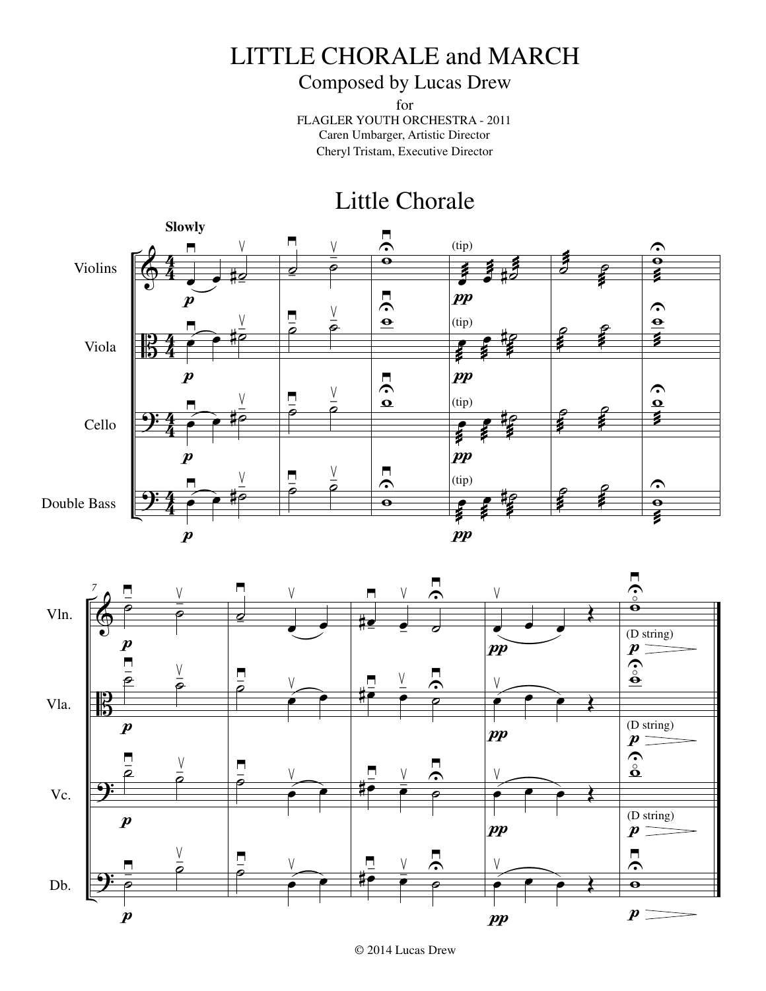## LITTLE CHORALE and MARCH

## Composed by Lucas Drew

for FLAGLER YOUTH ORCHESTRA - 2011 Caren Umbarger, Artistic Director Cheryl Tristam, Executive Director

## Little Chorale